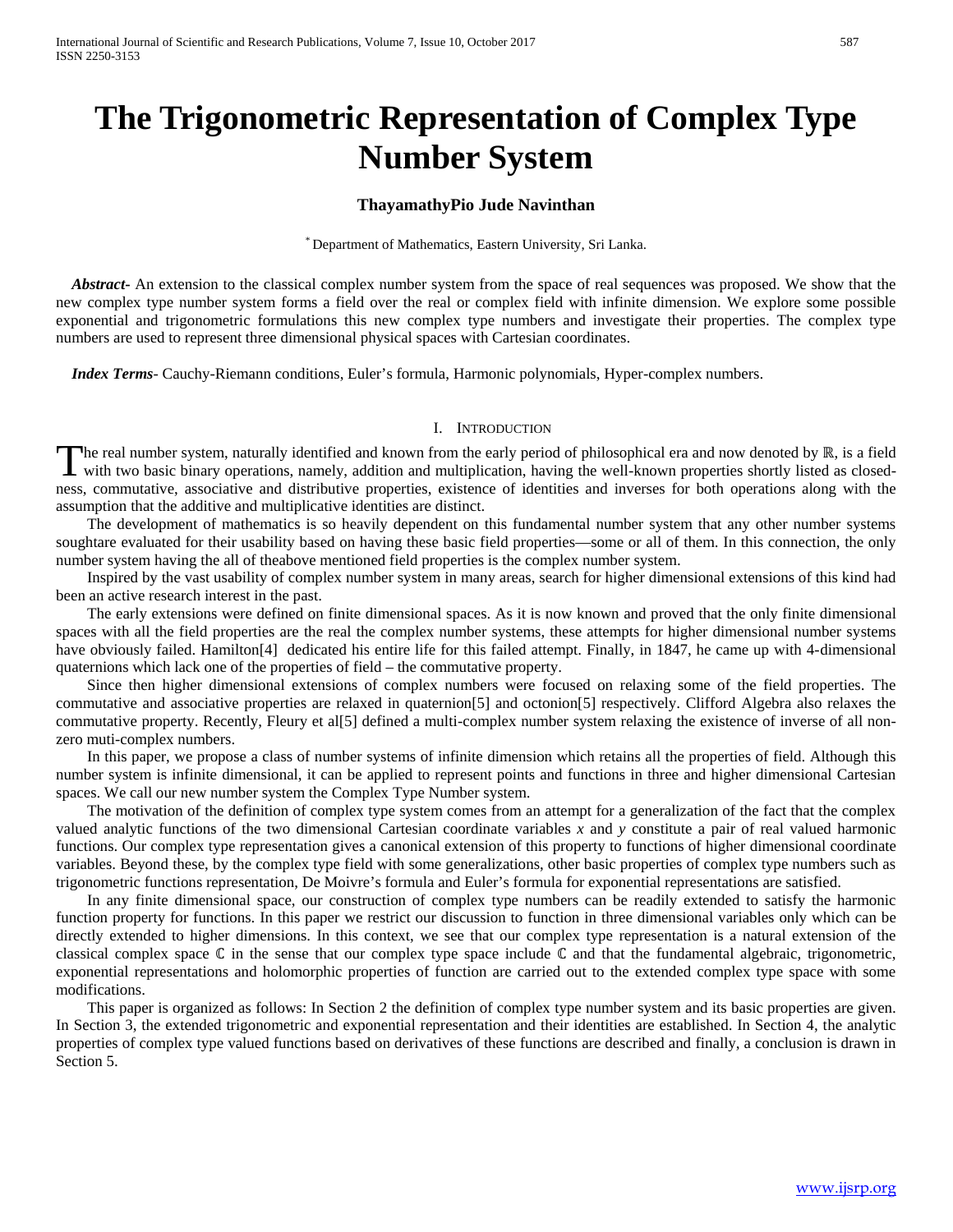# **The Trigonometric Representation of Complex Type Number System**

# **ThayamathyPio Jude Navinthan**

\* Department of Mathematics, Eastern University, Sri Lanka.

 *Abstract***-** An extension to the classical complex number system from the space of real sequences was proposed. We show that the new complex type number system forms a field over the real or complex field with infinite dimension. We explore some possible exponential and trigonometric formulations this new complex type numbers and investigate their properties. The complex type numbers are used to represent three dimensional physical spaces with Cartesian coordinates.

 *Index Terms*- Cauchy-Riemann conditions, Euler's formula, Harmonic polynomials, Hyper-complex numbers.

#### I. INTRODUCTION

The real number system, naturally identified and known from the early period of philosophical era and now denoted by ℝ, is a field The real number system, naturally identified and known from the early period of philosophical era and now denoted by  $\mathbb{R}$ , is a field with two basic binary operations, namely, addition and multiplication, having the we ness, commutative, associative and distributive properties, existence of identities and inverses for both operations along with the assumption that the additive and multiplicative identities are distinct.

 The development of mathematics is so heavily dependent on this fundamental number system that any other number systems soughtare evaluated for their usability based on having these basic field properties—some or all of them. In this connection, the only number system having the all of theabove mentioned field properties is the complex number system.

 Inspired by the vast usability of complex number system in many areas, search for higher dimensional extensions of this kind had been an active research interest in the past.

 The early extensions were defined on finite dimensional spaces. As it is now known and proved that the only finite dimensional spaces with all the field properties are the real the complex number systems, these attempts for higher dimensional number systems have obviously failed. Hamilton[4] dedicated his entire life for this failed attempt. Finally, in 1847, he came up with 4-dimensional quaternions which lack one of the properties of field – the commutative property.

 Since then higher dimensional extensions of complex numbers were focused on relaxing some of the field properties. The commutative and associative properties are relaxed in quaternion[5] and octonion[5] respectively. Clifford Algebra also relaxes the commutative property. Recently, Fleury et al[5] defined a multi-complex number system relaxing the existence of inverse of all nonzero muti-complex numbers.

 In this paper, we propose a class of number systems of infinite dimension which retains all the properties of field. Although this number system is infinite dimensional, it can be applied to represent points and functions in three and higher dimensional Cartesian spaces. We call our new number system the Complex Type Number system.

 The motivation of the definition of complex type system comes from an attempt for a generalization of the fact that the complex valued analytic functions of the two dimensional Cartesian coordinate variables *x* and *y* constitute a pair of real valued harmonic functions. Our complex type representation gives a canonical extension of this property to functions of higher dimensional coordinate variables. Beyond these, by the complex type field with some generalizations, other basic properties of complex type numbers such as trigonometric functions representation, De Moivre's formula and Euler's formula for exponential representations are satisfied.

 In any finite dimensional space, our construction of complex type numbers can be readily extended to satisfy the harmonic function property for functions. In this paper we restrict our discussion to function in three dimensional variables only which can be directly extended to higher dimensions. In this context, we see that our complex type representation is a natural extension of the classical complex space ℂ in the sense that our complex type space include ℂ and that the fundamental algebraic, trigonometric, exponential representations and holomorphic properties of function are carried out to the extended complex type space with some modifications.

 This paper is organized as follows: In Section 2 the definition of complex type number system and its basic properties are given. In Section 3, the extended trigonometric and exponential representation and their identities are established. In Section 4, the analytic properties of complex type valued functions based on derivatives of these functions are described and finally, a conclusion is drawn in Section 5.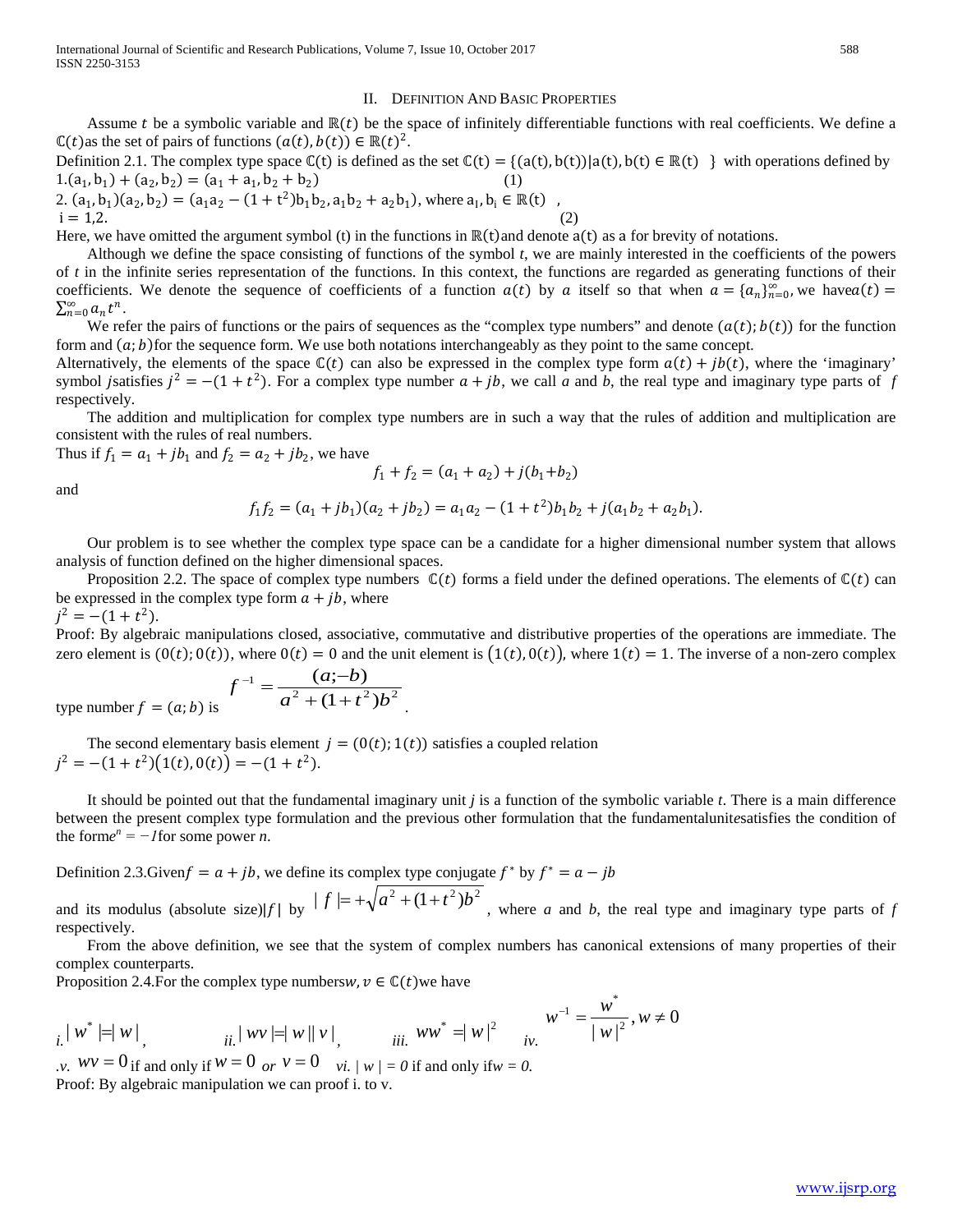#### II. DEFINITION AND BASIC PROPERTIES

Assume t be a symbolic variable and  $\mathbb{R}(t)$  be the space of infinitely differentiable functions with real coefficients. We define a  $\mathbb{C}(t)$ as the set of pairs of functions  $(a(t), b(t)) \in \mathbb{R}(t)^2$ .

Definition 2.1. The complex type space  $\mathbb{C}(t)$  is defined as the set  $\mathbb{C}(t) = \{(a(t), b(t)) | a(t), b(t) \in \mathbb{R}(t) \}$  with operations defined by  $1.(a_1, b_1) + (a_2, b_2) = (a_1 + a_1, b_2 + b_2)$ 

2.  $(a_1, b_1)(a_2, b_2) = (a_1a_2 - (1+t^2)b_1b_2, a_1b_2 + a_2b_1)$ , where  $a_1, b_1 \in \mathbb{R}(t)$ ,  $i = 1,2.$  (2)

Here, we have omitted the argument symbol (t) in the functions in ℝ(t)and denote a(t) as a for brevity of notations.

 Although we define the space consisting of functions of the symbol *t*, we are mainly interested in the coefficients of the powers of *t* in the infinite series representation of the functions. In this context, the functions are regarded as generating functions of their coefficients. We denote the sequence of coefficients of a function  $a(t)$  by a itself so that when  $a = \{a_n\}_{n=0}^{\infty}$ , we have  $a(t)$  =  $\sum_{n=0}^{\infty} a_n t^n$ .

We refer the pairs of functions or the pairs of sequences as the "complex type numbers" and denote  $(a(t); b(t))$  for the function form and  $(a; b)$  for the sequence form. We use both notations interchangeably as they point to the same concept.

Alternatively, the elements of the space  $\mathbb{C}(t)$  can also be expressed in the complex type form  $a(t) + jb(t)$ , where the 'imaginary' symbol jsatisfies  $j^2 = -(1 + t^2)$ . For a complex type number  $a + jb$ , we call *a* and *b*, the real type and imaginary type parts of *f* respectively.

 The addition and multiplication for complex type numbers are in such a way that the rules of addition and multiplication are consistent with the rules of real numbers.

Thus if  $f_1 = a_1 + jb_1$  and  $f_2 = a_2 + jb_2$ , we have

$$
f_1 + f_2 = (a_1 + a_2) + j(b_1 + b_2)
$$

and

$$
f_1f_2 = (a_1 + jb_1)(a_2 + jb_2) = a_1a_2 - (1 + t^2)b_1b_2 + j(a_1b_2 + a_2b_1).
$$

 Our problem is to see whether the complex type space can be a candidate for a higher dimensional number system that allows analysis of function defined on the higher dimensional spaces.

Proposition 2.2. The space of complex type numbers  $\mathbb{C}(t)$  forms a field under the defined operations. The elements of  $\mathbb{C}(t)$  can be expressed in the complex type form  $a + jb$ , where  $j^2 = -(1 + t^2).$ 

Proof: By algebraic manipulations closed, associative, commutative and distributive properties of the operations are immediate. The zero element is  $(0(t); 0(t))$ , where  $0(t) = 0$  and the unit element is  $(1(t), 0(t))$ , where  $1(t) = 1$ . The inverse of a non-zero complex

.

type number 
$$
f = (a; b)
$$
 is 
$$
f^{-1} = \frac{(a;-b)}{a^2 + (1+t^2)b^2}
$$

The second elementary basis element  $j = (0(t); 1(t))$  satisfies a coupled relation  $i^2 = -(1 + t^2)(1(t), 0(t)) = -(1 + t^2).$ 

 It should be pointed out that the fundamental imaginary unit *j* is a function of the symbolic variable *t*. There is a main difference between the present complex type formulation and the previous other formulation that the fundamentalunit*e*satisfies the condition of the form $e^n = -1$  for some power *n*.

Definition 2.3.Given  $f = a + jb$ , we define its complex type conjugate  $f^*$  by  $f^* = a - jb$ 

and its modulus (absolute size)|f| by  $|f| = +\sqrt{a^2 + (1+t^2)b^2}$ , where *a* and *b*, the real type and imaginary type parts of *f* respectively.

 From the above definition, we see that the system of complex numbers has canonical extensions of many properties of their complex counterparts.

Proposition 2.4. For the complex type numbers $w, v \in \mathbb{C}(t)$  we have

$$
i. |w^*| = |w|
$$
,  $ii. |wv| = |w||v|$ ,  $iii. |ww^*| = |w|^2$   $\frac{w^{-1}}{|w|^{2}}, w \neq 0$ 

*.v.*  $wv = 0$  if and only if  $w = 0$  *or*  $v = 0$  *vi. | w | = 0* if and only if  $w = 0$ . Proof: By algebraic manipulation we can proof i. to v.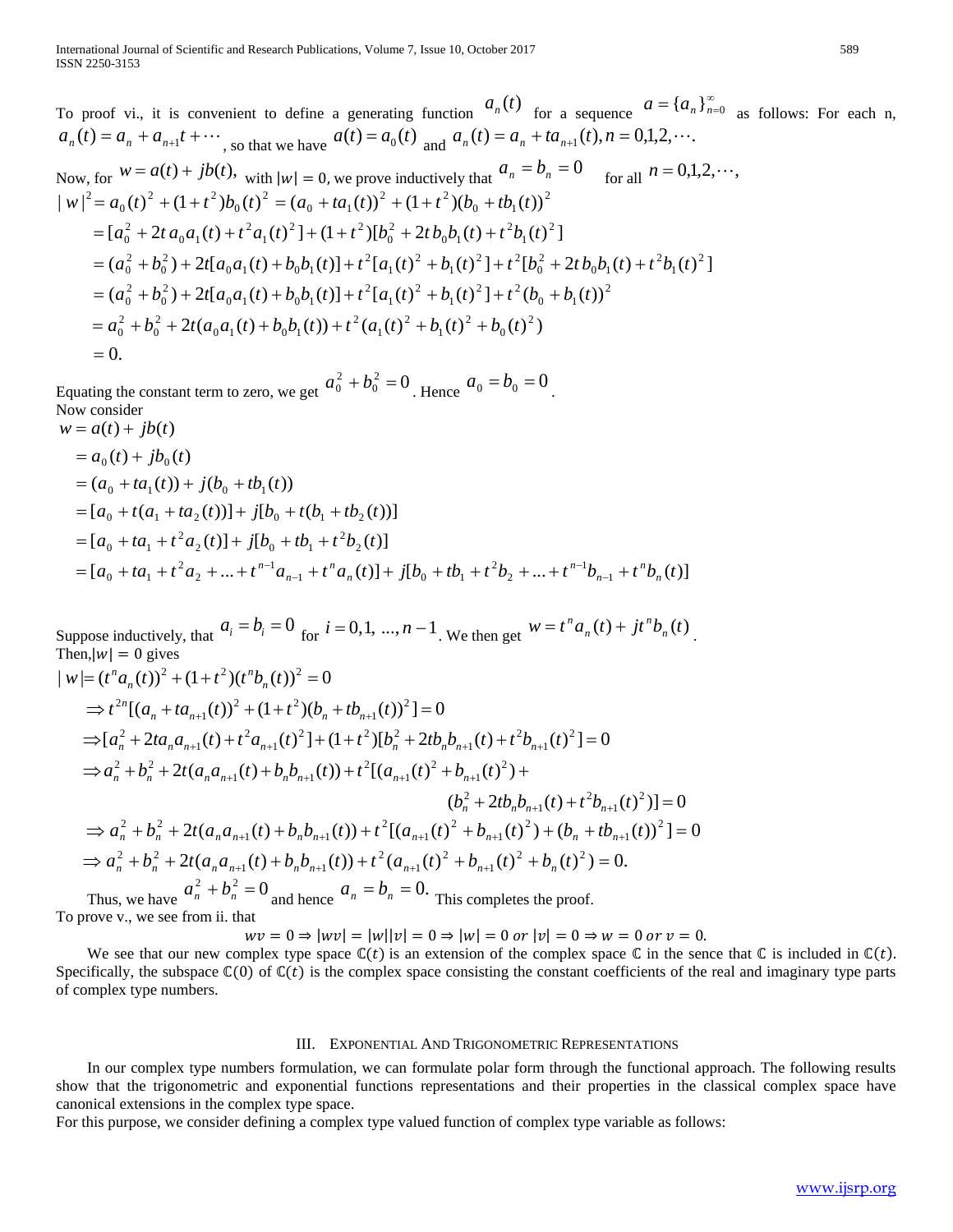To proof vi., it is convenient to define a generating function  $a_n(t)$  for a sequence  $a = \{a_n\}_{n=0}^{\infty}$  as follows: For each n,  $a_n(t) = a_n + a_{n+1}t + \cdots$ , so that we have  $a(t) = a_0(t)$  and  $a_n(t) = a_n + ta_{n+1}(t)$ ,  $n = 0,1,2,\cdots$ .

Now, for 
$$
W = a(t) + jb(t)
$$
, with  $|w| = 0$ , we prove inductively that  $a_n = b_n = 0$  for all  $n = 0,1,2,\dots$ ,  
\n
$$
|w|^2 = a_0(t)^2 + (1+t^2)b_0(t)^2 = (a_0 + ta_1(t))^2 + (1+t^2)(b_0 + tb_1(t))^2
$$
\n
$$
= [a_0^2 + 2ta_0a_1(t) + t^2a_1(t)^2] + (1+t^2)[b_0^2 + 2tb_0b_1(t) + t^2b_1(t)^2]
$$
\n
$$
= (a_0^2 + b_0^2) + 2t[a_0a_1(t) + b_0b_1(t)] + t^2[a_1(t)^2 + b_1(t)^2] + t^2[b_0^2 + 2tb_0b_1(t) + t^2b_1(t)^2]
$$
\n
$$
= (a_0^2 + b_0^2) + 2t[a_0a_1(t) + b_0b_1(t)] + t^2[a_1(t)^2 + b_1(t)^2] + t^2(b_0 + b_1(t))^2
$$
\n
$$
= a_0^2 + b_0^2 + 2t(a_0a_1(t) + b_0b_1(t)) + t^2(a_1(t)^2 + b_1(t)^2 + b_0(t)^2)
$$
\n
$$
= 0.
$$

Equating the constant term to zero, we get  $a_0^2 + b_0^2 = 0$  $a_0^2 + b_0^2 = 0$ . Hence  $a_0 = b_0 = 0$ . Now consider

 $w = a(t) + jb(t)$ 

$$
= a_0(t) + jb_0(t)
$$
  
=  $(a_0 + ta_1(t)) + j(b_0 + tb_1(t))$   
=  $[a_0 + t(a_1 + ta_2(t))] + j[b_0 + t(b_1 + tb_2(t))]$   
=  $[a_0 + ta_1 + t^2 a_2(t)] + j[b_0 + tb_1 + t^2 b_2(t)]$   
=  $[a_0 + ta_1 + t^2 a_2 + ... + t^{n-1} a_{n-1} + t^n a_n(t)] + j[b_0 + tb_1 + t^2 b_2 + ... + t^{n-1} b_{n-1} + t^n b_n(t)]$ 

Suppose inductively, that  $a_i = b_i = 0$  for  $i = 0, 1, ..., n - 1$ . We then get  $w = t^n a_n(t) + j t^n b_n(t)$  $= t<sup>n</sup> a<sub>n</sub>(t) + j t<sup>n</sup> b<sub>n</sub>(t)$ . Then,  $|w| = 0$  gives

$$
|w| = (t^n a_n(t))^2 + (1+t^2)(t^n b_n(t))^2 = 0
$$
  
\n
$$
\Rightarrow t^{2n} [(a_n + ta_{n+1}(t))^2 + (1+t^2)(b_n + tb_{n+1}(t))^2] = 0
$$
  
\n
$$
\Rightarrow [a_n^2 + 2ta_n a_{n+1}(t) + t^2 a_{n+1}(t)^2] + (1+t^2)[b_n^2 + 2tb_n b_{n+1}(t) + t^2 b_{n+1}(t)^2] = 0
$$
  
\n
$$
\Rightarrow a_n^2 + b_n^2 + 2t(a_n a_{n+1}(t) + b_n b_{n+1}(t)) + t^2 [(a_{n+1}(t)^2 + b_{n+1}(t)^2) + (b_n^2 + 2tb_n b_{n+1}(t) + t^2 b_{n+1}(t)^2)] = 0
$$
  
\n
$$
\Rightarrow a_n^2 + b_n^2 + 2t(a_n a_{n+1}(t) + b_n b_{n+1}(t)) + t^2 [(a_{n+1}(t)^2 + b_{n+1}(t)^2) + (b_n + tb_{n+1}(t)^2)] = 0
$$
  
\n
$$
\Rightarrow a_n^2 + b_n^2 + 2t(a_n a_{n+1}(t) + b_n b_{n+1}(t)) + t^2 (a_{n+1}(t)^2 + b_{n+1}(t)^2 + b_n(t)^2) = 0.
$$
  
\n
$$
\Rightarrow a_n^2 + b_n^2 = 0 \qquad a_n = b_n = 0
$$

Thus, we have  $a_n^2 + b_n^2 = 0$  and hence  $a_n = b_n = 0$ . This completes the proof. To prove v., we see from ii. that

 $wv = 0 \Rightarrow |wv| = |w||v| = 0 \Rightarrow |w| = 0$  or  $|v| = 0 \Rightarrow w = 0$  or  $v = 0$ .

We see that our new complex type space  $\mathbb{C}(t)$  is an extension of the complex space  $\mathbb C$  in the sence that  $\mathbb C$  is included in  $\mathbb C(t)$ . Specifically, the subspace  $\mathbb{C}(0)$  of  $\mathbb{C}(t)$  is the complex space consisting the constant coefficients of the real and imaginary type parts of complex type numbers.

### III. EXPONENTIAL AND TRIGONOMETRIC REPRESENTATIONS

 In our complex type numbers formulation, we can formulate polar form through the functional approach. The following results show that the trigonometric and exponential functions representations and their properties in the classical complex space have canonical extensions in the complex type space.

For this purpose, we consider defining a complex type valued function of complex type variable as follows: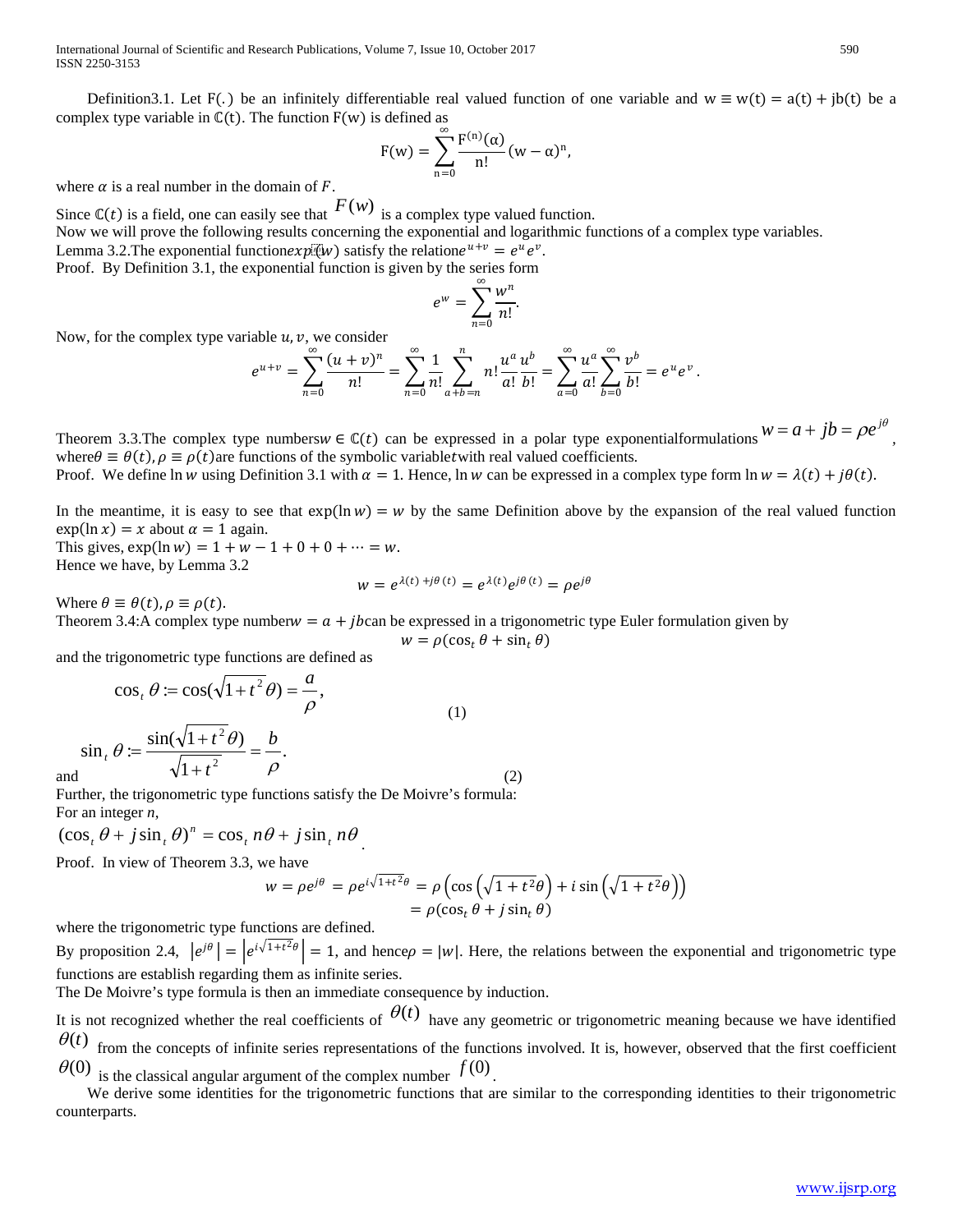International Journal of Scientific and Research Publications, Volume 7, Issue 10, October 2017 590 ISSN 2250-3153

Definition3.1. Let F(.) be an infinitely differentiable real valued function of one variable and  $w \equiv w(t) = a(t) + ib(t)$  be a complex type variable in  $\mathbb{C}(t)$ . The function  $F(w)$  is defined as

$$
F(w) = \sum_{n=0}^{\infty} \frac{F^{(n)}(\alpha)}{n!} (w - \alpha)^n,
$$

where  $\alpha$  is a real number in the domain of F.

Since  $\mathbb{C}(t)$  is a field, one can easily see that  $F(w)$  is a complex type valued function. Now we will prove the following results concerning the exponential and logarithmic functions of a complex type variables. Lemma 3.2. The exponential functionexplation satisfy the relatione  $u+v = e^u e^v$ .

Proof. By Definition 3.1, the exponential function is given by the series form

$$
e^w = \sum_{n=0}^{\infty} \frac{w^n}{n!}.
$$

Now, for the complex type variable  $u, v$ , we consider

$$
e^{u+v} = \sum_{n=0}^{\infty} \frac{(u+v)^n}{n!} = \sum_{n=0}^{\infty} \frac{1}{n!} \sum_{a+b=n}^{n} n! \frac{u^a}{a!} \frac{u^b}{b!} = \sum_{a=0}^{\infty} \frac{u^a}{a!} \sum_{b=0}^{\infty} \frac{v^b}{b!} = e^u e^v.
$$

Theorem 3.3. The complex type numbers  $w \in \mathbb{C}(t)$  can be expressed in a polar type exponentialformulations  $w = a + jb = \rho e^{j\theta}$ , where  $\theta \equiv \theta(t)$ ,  $\rho \equiv \rho(t)$  are functions of the symbolic variable twith real valued coefficients.

Proof. We define ln w using Definition 3.1 with  $\alpha = 1$ . Hence, ln w can be expressed in a complex type form  $\ln w = \lambda(t) + i\theta(t)$ .

In the meantime, it is easy to see that  $exp(\ln w) = w$  by the same Definition above by the expansion of the real valued function  $\exp(\ln x) = x$  about  $\alpha = 1$  again.

This gives,  $exp(ln w) = 1 + w - 1 + 0 + 0 + \dots = w$ . Hence we have, by Lemma 3.2

$$
w = e^{\lambda(t) + j\theta(t)} = e^{\lambda(t)} e^{j\theta(t)} = \rho e^{j\theta}
$$

Where  $\theta \equiv \theta(t)$ ,  $\rho \equiv \rho(t)$ .

and

Theorem 3.4:A complex type number  $w = a + ib$ can be expressed in a trigonometric type Euler formulation given by

$$
w = \rho(\cos_t \theta + \sin_t \theta)
$$

and the trigonometric type functions are defined as

$$
\cos_t \theta := \cos(\sqrt{1+t^2} \theta) = \frac{a}{\rho},
$$
  
\n
$$
\sin_t \theta := \frac{\sin(\sqrt{1+t^2} \theta)}{\sqrt{1+t^2}} = \frac{b}{\rho}.
$$
\n(1)

Further, the trigonometric type functions satisfy the De Moivre's formula: For an integer *n*,

$$
(\cos_t \theta + j \sin_t \theta)^n = \cos_t n\theta + j \sin_t n\theta
$$

Proof. In view of Theorem 3.3, we have

$$
w = \rho e^{j\theta} = \rho e^{i\sqrt{1+t^2}\theta} = \rho \left( \cos \left( \sqrt{1+t^2}\theta \right) + i \sin \left( \sqrt{1+t^2}\theta \right) \right)
$$

$$
= \rho (\cos_t \theta + j \sin_t \theta)
$$

(2)

where the trigonometric type functions are defined.

By proposition 2.4,  $|e^{j\theta}| = |e^{i\sqrt{1+t^2}\theta}| = 1$ , and hence  $\rho = |w|$ . Here, the relations between the exponential and trigonometric type functions are establish regarding them as infinite series.

The De Moivre's type formula is then an immediate consequence by induction.

It is not recognized whether the real coefficients of  $\theta(t)$  have any geometric or trigonometric meaning because we have identified  $\theta(t)$  from the concepts of infinite series representations of the functions involved. It is, however, observed that the first coefficient  $\theta$ (0) is the classical angular argument of the complex number  $f(0)$ .

 We derive some identities for the trigonometric functions that are similar to the corresponding identities to their trigonometric counterparts.